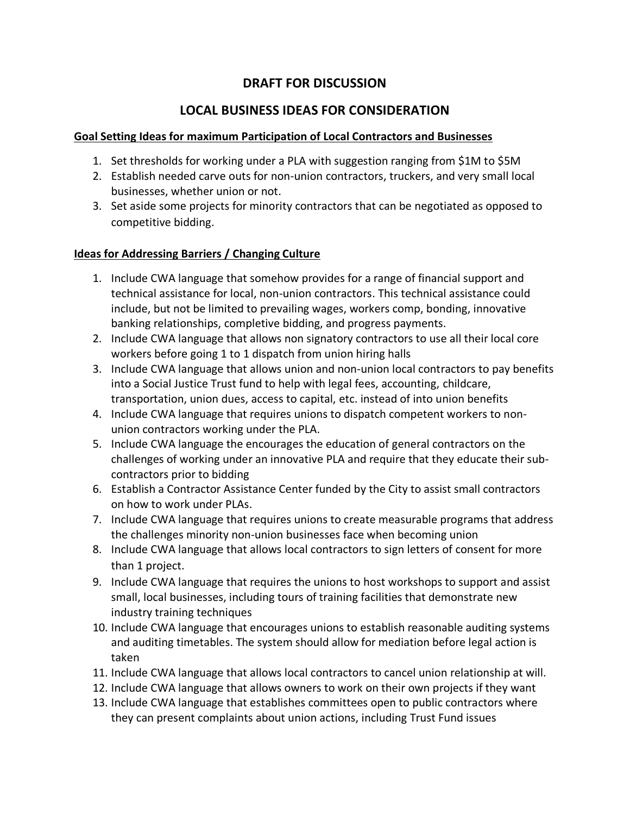# **DRAFT FOR DISCUSSION**

# **LOCAL BUSINESS IDEAS FOR CONSIDERATION**

#### **Goal Setting Ideas for maximum Participation of Local Contractors and Businesses**

- 1. Set thresholds for working under a PLA with suggestion ranging from \$1M to \$5M
- 2. Establish needed carve outs for non-union contractors, truckers, and very small local businesses, whether union or not.
- 3. Set aside some projects for minority contractors that can be negotiated as opposed to competitive bidding.

#### **Ideas for Addressing Barriers / Changing Culture**

- 1. Include CWA language that somehow provides for a range of financial support and technical assistance for local, non-union contractors. This technical assistance could include, but not be limited to prevailing wages, workers comp, bonding, innovative banking relationships, completive bidding, and progress payments.
- 2. Include CWA language that allows non signatory contractors to use all their local core workers before going 1 to 1 dispatch from union hiring halls
- 3. Include CWA language that allows union and non-union local contractors to pay benefits into a Social Justice Trust fund to help with legal fees, accounting, childcare, transportation, union dues, access to capital, etc. instead of into union benefits
- 4. Include CWA language that requires unions to dispatch competent workers to nonunion contractors working under the PLA.
- 5. Include CWA language the encourages the education of general contractors on the challenges of working under an innovative PLA and require that they educate their subcontractors prior to bidding
- 6. Establish a Contractor Assistance Center funded by the City to assist small contractors on how to work under PLAs.
- 7. Include CWA language that requires unions to create measurable programs that address the challenges minority non-union businesses face when becoming union
- 8. Include CWA language that allows local contractors to sign letters of consent for more than 1 project.
- 9. Include CWA language that requires the unions to host workshops to support and assist small, local businesses, including tours of training facilities that demonstrate new industry training techniques
- 10. Include CWA language that encourages unions to establish reasonable auditing systems and auditing timetables. The system should allow for mediation before legal action is taken
- 11. Include CWA language that allows local contractors to cancel union relationship at will.
- 12. Include CWA language that allows owners to work on their own projects if they want
- 13. Include CWA language that establishes committees open to public contractors where they can present complaints about union actions, including Trust Fund issues